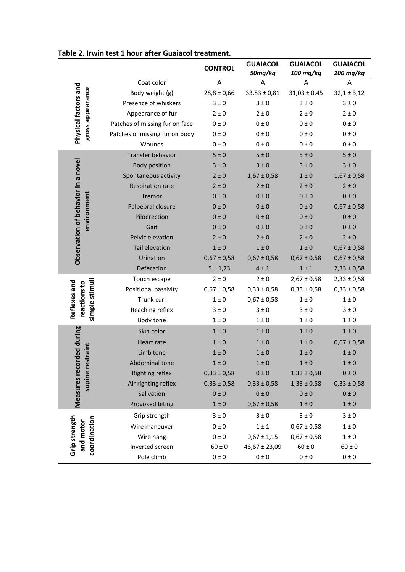|                                                   |                                | <b>CONTROL</b>  | <b>GUAIACOL</b><br>50mg/kg | <b>GUAIACOL</b><br>100 mg/kg | <b>GUAIACOL</b><br>200 mg/kg |
|---------------------------------------------------|--------------------------------|-----------------|----------------------------|------------------------------|------------------------------|
|                                                   | Coat color                     | A               | A                          | A                            | Α                            |
| Physical factors and<br>gross appearance          | Body weight (g)                | $28,8 \pm 0,66$ | $33,83 \pm 0,81$           | $31,03 \pm 0,45$             | $32,1 \pm 3,12$              |
|                                                   | Presence of whiskers           | $3 \pm 0$       | $3 \pm 0$                  | $3 \pm 0$                    | $3 \pm 0$                    |
|                                                   | Appearance of fur              | $2 \pm 0$       | $2 \pm 0$                  | $2 \pm 0$                    | $2 \pm 0$                    |
|                                                   | Patches of missing fur on face | 0 ± 0           | 0 ± 0                      | 0 ± 0                        | 0 ± 0                        |
|                                                   | Patches of missing fur on body | $0\pm0$         | 0 ± 0                      | 0 ± 0                        | 0 ± 0                        |
|                                                   | Wounds                         | 0 ± 0           | 0 ± 0                      | 0 ± 0                        | $0 \pm 0$                    |
| Observation of behavior in a novel<br>environment | Transfer behavior              | 5±0             | 5±0                        | 5±0                          | 5±0                          |
|                                                   | <b>Body position</b>           | $3 \pm 0$       | $3 \pm 0$                  | $3 \pm 0$                    | $3 \pm 0$                    |
|                                                   | Spontaneous activity           | $2 \pm 0$       | $1,67 \pm 0,58$            | $1 \pm 0$                    | $1,67 \pm 0,58$              |
|                                                   | Respiration rate               | $2 \pm 0$       | $2 \pm 0$                  | $2 \pm 0$                    | $2 \pm 0$                    |
|                                                   | Tremor                         | 0 ± 0           | 0±0                        | 0 ± 0                        | 0 ± 0                        |
|                                                   | Palpebral closure              | 0 ± 0           | 0±0                        | 0 ± 0                        | $0,67 \pm 0,58$              |
|                                                   | Piloerection                   | 0 ± 0           | 0 ± 0                      | 0 ± 0                        | 0 ± 0                        |
|                                                   | Gait                           | 0 ± 0           | 0 ± 0                      | 0 ± 0                        | 0 ± 0                        |
|                                                   | Pelvic elevation               | $2 \pm 0$       | $2 \pm 0$                  | $2 \pm 0$                    | $2 \pm 0$                    |
|                                                   | Tail elevation                 | $1 \pm 0$       | $1 \pm 0$                  | $1 \pm 0$                    | $0,67 \pm 0,58$              |
|                                                   | Urination                      | $0,67 \pm 0,58$ | $0,67 \pm 0,58$            | $0,67 \pm 0,58$              | $0,67 \pm 0,58$              |
|                                                   | Defecation                     | 5 ± 1,73        | $4 \pm 1$                  | $1 \pm 1$                    | $2,33 \pm 0,58$              |
| simple stimuli<br>Reflexes and<br>reactions to    | Touch escape                   | $2 \pm 0$       | $2 \pm 0$                  | $2,67 \pm 0,58$              | $2,33 \pm 0,58$              |
|                                                   | Positional passivity           | $0,67 \pm 0,58$ | $0,33 \pm 0,58$            | $0,33 \pm 0,58$              | $0,33 \pm 0,58$              |
|                                                   | Trunk curl                     | $1 \pm 0$       | $0,67 \pm 0,58$            | $1 \pm 0$                    | $1 \pm 0$                    |
|                                                   | Reaching reflex                | $3 \pm 0$       | $3 \pm 0$                  | $3 \pm 0$                    | $3 \pm 0$                    |
|                                                   | Body tone                      | $1 \pm 0$       | $1 \pm 0$                  | $1 \pm 0$                    | $1 \pm 0$                    |
| rded during                                       | Skin color                     | $1 \pm 0$       | $1 \pm 0$                  | $1 \pm 0$                    | $1 \pm 0$                    |
|                                                   | Heart rate                     | $1\pm0$         | $1 \pm 0$                  | $1 \pm 0$                    | $0,67 \pm 0,58$              |
| supine restraint                                  | Limb tone                      | $1 \pm 0$       | $1 \pm 0$                  | $1 \pm 0$                    | $1 \pm 0$                    |
|                                                   | Abdominal tone                 | $1\pm0$         | $1 \pm 0$                  | $1\pm0$                      | $1 \pm 0$                    |
|                                                   | <b>Righting reflex</b>         | $0,33 \pm 0,58$ | $0\pm0$                    | $1,33 \pm 0,58$              | $0\pm0$                      |
|                                                   | Air righting reflex            | $0,33 \pm 0,58$ | $0,33 \pm 0,58$            | $1,33 \pm 0,58$              | $0,33 \pm 0,58$              |
|                                                   | Salivation                     | $0\pm0$         | $0\pm0$                    | $0\pm0$                      | $0\pm0$                      |
| Measures recor                                    | Provoked biting                | $1\pm0$         | $0,67 \pm 0,58$            | $1\pm0$                      | $1\pm0$                      |
| Grip strength<br>coordination<br>and motor        | Grip strength                  | $3 \pm 0$       | $3 \pm 0$                  | $3 \pm 0$                    | $3 \pm 0$                    |
|                                                   | Wire maneuver                  | $0 \pm 0$       | $1 \pm 1$                  | $0,67 \pm 0,58$              | $1 \pm 0$                    |
|                                                   | Wire hang                      | $0 \pm 0$       | $0,67 \pm 1,15$            | $0,67 \pm 0,58$              | $1 \pm 0$                    |
|                                                   | Inverted screen                | $60 \pm 0$      | 46,67 ± 23,09              | $60 \pm 0$                   | $60 \pm 0$                   |
|                                                   | Pole climb                     | $0\pm0$         | $0 \pm 0$                  | $0\pm0$                      | $0\pm0$                      |

## **Table 2. Irwin test 1 hour after Guaiacol treatment.**